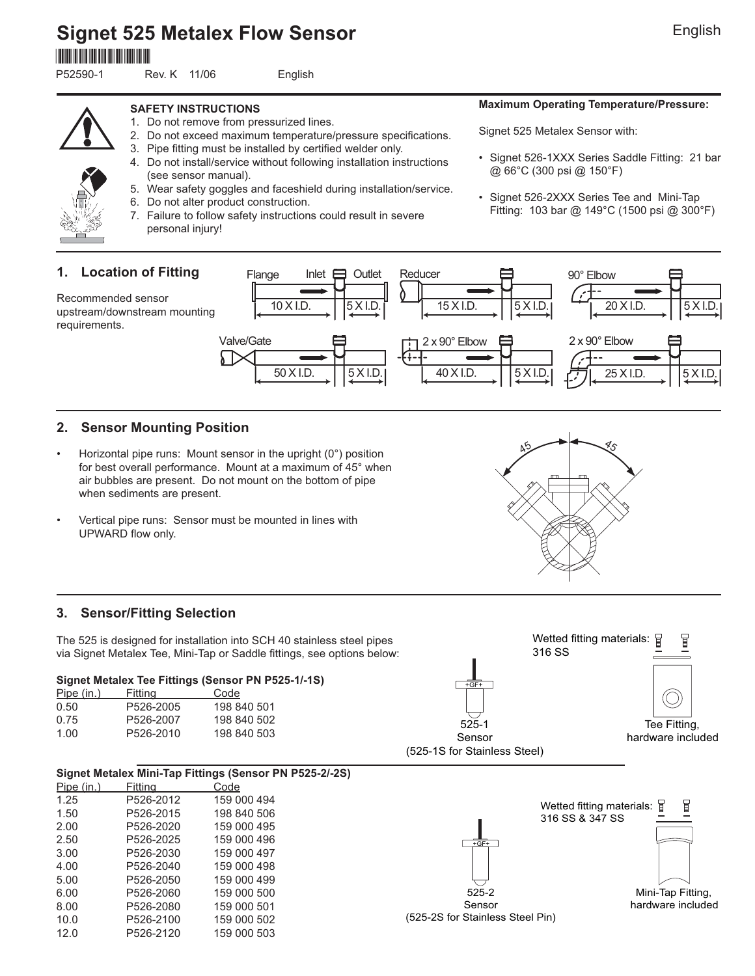**Signet 525 Metalex Flow Sensor** \*P52590-1\*

P52590-1 Rev. K 11/06 English

#### **SAFETY INSTRUCTIONS**

- 1. Do not remove from pressurized lines.
- 2. Do not exceed maximum temperature/pressure specifications.
- 3. Pipe fitting must be installed by certified welder only.
- 4. Do not install/service without following installation instructions (see sensor manual).
- 5. Wear safety goggles and faceshield during installation/service.
- 6. Do not alter product construction.
- 7. Failure to follow safety instructions could result in severe personal injury!

#### **Maximum Operating Temperature/Pressure:**

Signet 525 Metalex Sensor with:

- Signet 526-1XXX Series Saddle Fitting: 21 bar @ 66°C (300 psi @ 150°F)
- Signet 526-2XXX Series Tee and Mini-Tap Fitting: 103 bar @ 149°C (1500 psi @ 300°F)



requirements.



## **2. Sensor Mounting Position**

- Horizontal pipe runs: Mount sensor in the upright (0°) position for best overall performance. Mount at a maximum of 45° when air bubbles are present. Do not mount on the bottom of pipe when sediments are present.
- Vertical pipe runs: Sensor must be mounted in lines with UPWARD flow only.



The 525 is designed for installation into SCH 40 stainless steel pipes via Signet Metalex Tee, Mini-Tap or Saddle fittings, see options below:

#### **Signet Metalex Tee Fittings (Sensor PN P525-1/-1S)**

| Pipe (in.) | Fittina   | Code        |
|------------|-----------|-------------|
| 0.50       | P526-2005 | 198 840 501 |
| 0.75       | P526-2007 | 198 840 502 |
| 1.00       | P526-2010 | 198 840 503 |

| 45 | 85     |
|----|--------|
| т  | п<br>п |
|    |        |
|    |        |
|    |        |

 $\mathbf{L}$ 





**Signet Metalex Mini-Tap Fittings (Sensor PN P525-2/-2S)** Pipe (in.) Fitting Code 1.25 P526-2012 159 000 494 1.50 P526-2015 198 840 506 2.00 P526-2020 159 000 495 2.50 P526-2025 159 000 496 3.00 P526-2030 159 000 497 159 000 498 5.00 P526-2050 159 000 499 6.00 P526-2060 159 000 500 8.00 P526-2080 159 000 501 10.0 P526-2100 159 000 502 12.0 P526-2120 159 000 503

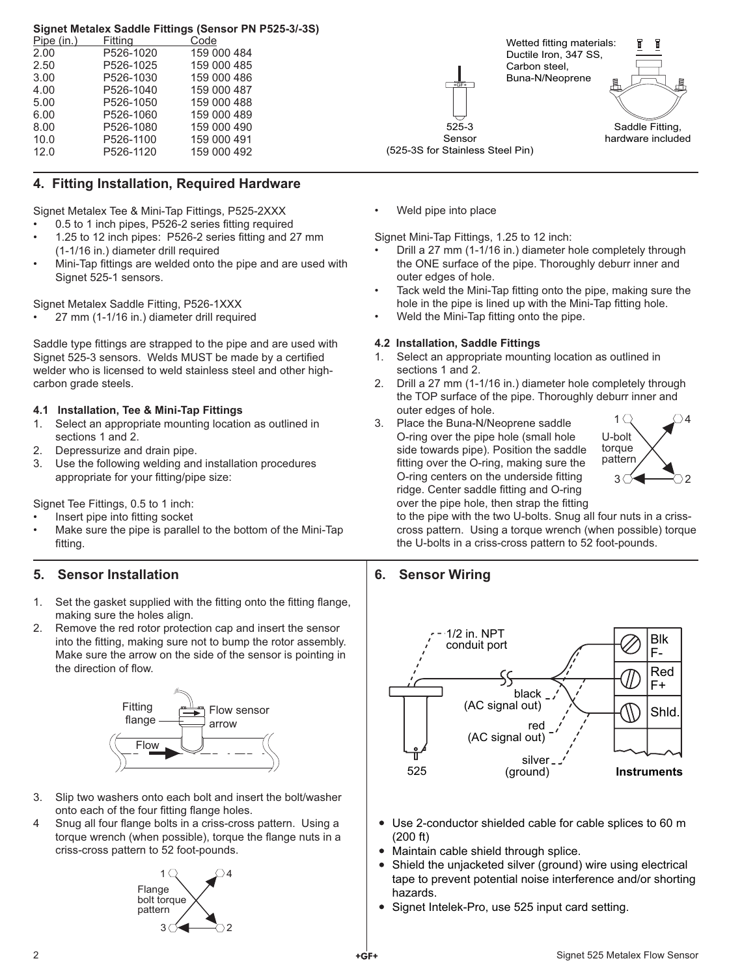#### **Signet Metalex Saddle Fittings (Sensor PN P525-3/-3S)**

| Pipe (in.) | <b>Fitting</b> | Code        |  |
|------------|----------------|-------------|--|
| 2.00       | P526-1020      | 159 000 484 |  |
| 2.50       | P526-1025      | 159 000 485 |  |
| 3.00       | P526-1030      | 159 000 486 |  |
| 4.00       | P526-1040      | 159 000 487 |  |
| 5.00       | P526-1050      | 159 000 488 |  |
| 6.00       | P526-1060      | 159 000 489 |  |
| 8.00       | P526-1080      | 159 000 490 |  |
| 10.0       | P526-1100      | 159 000 491 |  |
| 12.0       | P526-1120      | 159 000 492 |  |

## **4. Fitting Installation, Required Hardware**

Signet Metalex Tee & Mini-Tap Fittings, P525-2XXX

- 0.5 to 1 inch pipes, P526-2 series fitting required
- 1.25 to 12 inch pipes: P526-2 series fitting and 27 mm (1-1/16 in.) diameter drill required
- Mini-Tap fittings are welded onto the pipe and are used with Signet 525-1 sensors.

Signet Metalex Saddle Fitting, P526-1XXX

• 27 mm (1-1/16 in.) diameter drill required

Saddle type fittings are strapped to the pipe and are used with Signet 525-3 sensors. Welds MUST be made by a certified welder who is licensed to weld stainless steel and other highcarbon grade steels.

#### **4.1 Installation, Tee & Mini-Tap Fittings**

- 1. Select an appropriate mounting location as outlined in sections 1 and 2.
- 2. Depressurize and drain pipe.
- 3. Use the following welding and installation procedures appropriate for your fitting/pipe size:

Signet Tee Fittings, 0.5 to 1 inch:

- Insert pipe into fitting socket
- Make sure the pipe is parallel to the bottom of the Mini-Tap fitting.

## **5. Sensor Installation**

- 1. Set the gasket supplied with the fitting onto the fitting flange, making sure the holes align.
- 2. Remove the red rotor protection cap and insert the sensor into the fitting, making sure not to bump the rotor assembly. Make sure the arrow on the side of the sensor is pointing in the direction of flow



- 3. Slip two washers onto each bolt and insert the bolt/washer onto each of the four fitting flange holes.
- 4 Snug all four flange bolts in a criss-cross pattern. Using a torque wrench (when possible), torque the flange nuts in a criss-cross pattern to 52 foot-pounds.



+GF+ 525-3 Sensor (525-3S for Stainless Steel Pin) Wetted fitting materials: Ductile Iron, 347 SS, Carbon steel, Buna-N/Neoprene



• Weld pipe into place

Signet Mini-Tap Fittings, 1.25 to 12 inch:

- Drill a 27 mm (1-1/16 in.) diameter hole completely through the ONE surface of the pipe. Thoroughly deburr inner and outer edges of hole.
- Tack weld the Mini-Tap fitting onto the pipe, making sure the hole in the pipe is lined up with the Mini-Tap fitting hole.
- Weld the Mini-Tap fitting onto the pipe.

#### **4.2 Installation, Saddle Fittings**

- 1. Select an appropriate mounting location as outlined in sections 1 and 2.
- 2. Drill a 27 mm (1-1/16 in.) diameter hole completely through the TOP surface of the pipe. Thoroughly deburr inner and outer edges of hole.
- 3. Place the Buna-N/Neoprene saddle O-ring over the pipe hole (small hole side towards pipe). Position the saddle fitting over the O-ring, making sure the O-ring centers on the underside fitting ridge. Center saddle fitting and O-ring over the pipe hole, then strap the fitting



to the pipe with the two U-bolts. Snug all four nuts in a crisscross pattern. Using a torque wrench (when possible) torque the U-bolts in a criss-cross pattern to 52 foot-pounds.

## **6. Sensor Wiring**



- Use 2-conductor shielded cable for cable splices to 60 m (200 ft)
- Maintain cable shield through splice.
- Shield the unjacketed silver (ground) wire using electrical tape to prevent potential noise interference and/or shorting hazards.
- Signet Intelek-Pro, use 525 input card setting.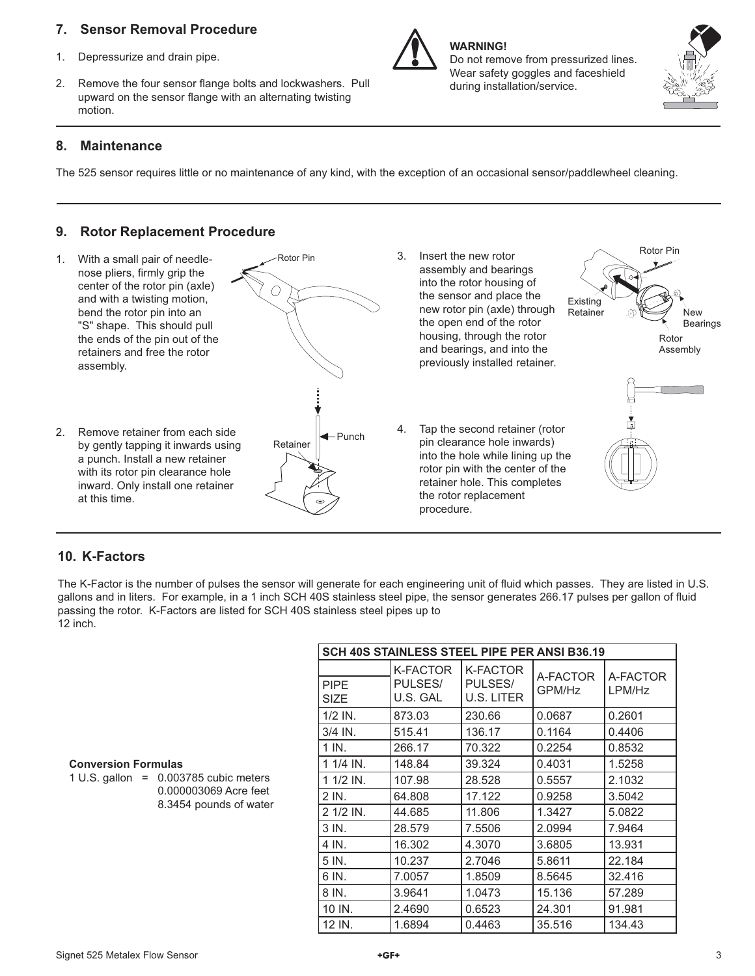## **7. Sensor Removal Procedure**

- 1. Depressurize and drain pipe.
- 2. Remove the four sensor flange bolts and lockwashers. Pull upward on the sensor flange with an alternating twisting motion.

## **8. Maintenance**

The 525 sensor requires little or no maintenance of any kind, with the exception of an occasional sensor/paddlewheel cleaning.

**WARNING!** 

Do not remove from pressurized lines. Wear safety goggles and faceshield

during installation/service.

## **9. Rotor Replacement Procedure**



## **10. K-Factors**

The K-Factor is the number of pulses the sensor will generate for each engineering unit of fluid which passes. They are listed in U.S. gallons and in liters. For example, in a 1 inch SCH 40S stainless steel pipe, the sensor generates 266.17 pulses per gallon of fluid passing the rotor. K-Factors are listed for SCH 40S stainless steel pipes up to 12 inch.

| <b>SCH 40S STAINLESS STEEL PIPE PER ANSI B36.19</b> |                                        |                                          |                    |                    |
|-----------------------------------------------------|----------------------------------------|------------------------------------------|--------------------|--------------------|
| <b>PIPE</b><br><b>SIZE</b>                          | <b>K-FACTOR</b><br>PULSES/<br>U.S. GAL | <b>K-FACTOR</b><br>PULSES/<br>U.S. LITER | A-FACTOR<br>GPM/Hz | A-FACTOR<br>LPM/Hz |
| $1/2$ IN.                                           | 873.03                                 | 230.66                                   | 0.0687             | 0.2601             |
| 3/4 IN.                                             | 515.41                                 | 136.17                                   | 0.1164             | 0.4406             |
| 1 IN.                                               | 266.17                                 | 70.322                                   | 0.2254             | 0.8532             |
| $11/4$ IN.                                          | 148.84                                 | 39.324                                   | 0.4031             | 1.5258             |
| $11/2$ IN.                                          | 107.98                                 | 28.528                                   | 0.5557             | 2.1032             |
| $2$ IN.                                             | 64.808                                 | 17.122                                   | 0.9258             | 3.5042             |
| 2 1/2 IN.                                           | 44.685                                 | 11.806                                   | 1.3427             | 5.0822             |
| 3 IN.                                               | 28.579                                 | 7.5506                                   | 2.0994             | 7.9464             |
| 4 IN.                                               | 16.302                                 | 4.3070                                   | 3.6805             | 13.931             |
| 5 IN.                                               | 10.237                                 | 2.7046                                   | 5.8611             | 22.184             |
| 6 IN.                                               | 7.0057                                 | 1.8509                                   | 8.5645             | 32.416             |
| 8 IN.                                               | 3.9641                                 | 1.0473                                   | 15.136             | 57.289             |
| 10 IN.                                              | 2.4690                                 | 0.6523                                   | 24.301             | 91.981             |
| 12 IN.                                              | 1.6894                                 | 0.4463                                   | 35.516             | 134.43             |

### **Conversion Formulas**

1 U.S. gallon =  $0.003785$  cubic meters 0.000003069 Acre feet 8.3454 pounds of water